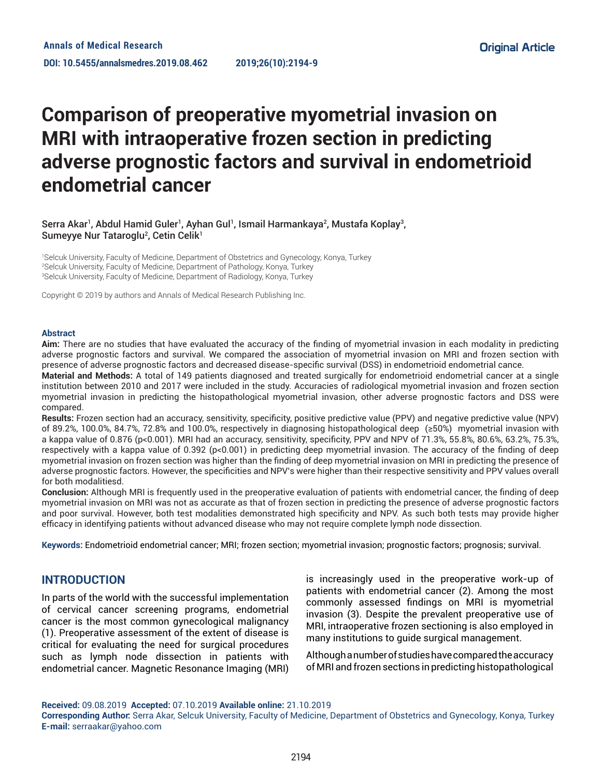# **Comparison of preoperative myometrial invasion on MRI with intraoperative frozen section in predicting adverse prognostic factors and survival in endometrioid endometrial cancer**

#### Serra Akar<sup>1</sup>, Abdul Hamid Guler<sup>1</sup>, Ayhan Gul<sup>1</sup>, Ismail Harmankaya<sup>2</sup>, Mustafa Koplay<sup>3</sup>, Sumeyye Nur Tataroglu<sup>2</sup>, Cetin Celik<sup>1</sup>

1 Selcuk University, Faculty of Medicine, Department of Obstetrics and Gynecology, Konya, Turkey 2 Selcuk University, Faculty of Medicine, Department of Pathology, Konya, Turkey 3 Selcuk University, Faculty of Medicine, Department of Radiology, Konya, Turkey

Copyright © 2019 by authors and Annals of Medical Research Publishing Inc.

#### **Abstract**

**Aim:** There are no studies that have evaluated the accuracy of the finding of myometrial invasion in each modality in predicting adverse prognostic factors and survival. We compared the association of myometrial invasion on MRI and frozen section with presence of adverse prognostic factors and decreased disease-specific survival (DSS) in endometrioid endometrial cance.

**Material and Methods:** A total of 149 patients diagnosed and treated surgically for endometrioid endometrial cancer at a single institution between 2010 and 2017 were included in the study. Accuracies of radiological myometrial invasion and frozen section myometrial invasion in predicting the histopathological myometrial invasion, other adverse prognostic factors and DSS were compared.

**Results:** Frozen section had an accuracy, sensitivity, specificity, positive predictive value (PPV) and negative predictive value (NPV) of 89.2%, 100.0%, 84.7%, 72.8% and 100.0%, respectively in diagnosing histopathological deep (≥50%) myometrial invasion with a kappa value of 0.876 (p<0.001). MRI had an accuracy, sensitivity, specificity, PPV and NPV of 71.3%, 55.8%, 80.6%, 63.2%, 75.3%, respectively with a kappa value of 0.392 (p<0.001) in predicting deep myometrial invasion. The accuracy of the finding of deep myometrial invasion on frozen section was higher than the finding of deep myometrial invasion on MRI in predicting the presence of adverse prognostic factors. However, the specificities and NPV's were higher than their respective sensitivity and PPV values overall for both modalitiesd.

**Conclusion:** Although MRI is frequently used in the preoperative evaluation of patients with endometrial cancer, the finding of deep myometrial invasion on MRI was not as accurate as that of frozen section in predicting the presence of adverse prognostic factors and poor survival. However, both test modalities demonstrated high specificity and NPV. As such both tests may provide higher efficacy in identifying patients without advanced disease who may not require complete lymph node dissection.

**Keywords:** Endometrioid endometrial cancer; MRI; frozen section; myometrial invasion; prognostic factors; prognosis; survival.

## **INTRODUCTION**

In parts of the world with the successful implementation of cervical cancer screening programs, endometrial cancer is the most common gynecological malignancy (1). Preoperative assessment of the extent of disease is critical for evaluating the need for surgical procedures such as lymph node dissection in patients with endometrial cancer. Magnetic Resonance Imaging (MRI) is increasingly used in the preoperative work-up of patients with endometrial cancer (2). Among the most commonly assessed findings on MRI is myometrial invasion (3). Despite the prevalent preoperative use of MRI, intraoperative frozen sectioning is also employed in many institutions to guide surgical management.

Although a number of studies have compared the accuracy of MRI and frozen sections in predicting histopathological

**Received:** 09.08.2019 **Accepted:** 07.10.2019 **Available online:** 21.10.2019

**Corresponding Author:** Serra Akar, Selcuk University, Faculty of Medicine, Department of Obstetrics and Gynecology, Konya, Turkey **E-mail:** serraakar@yahoo.com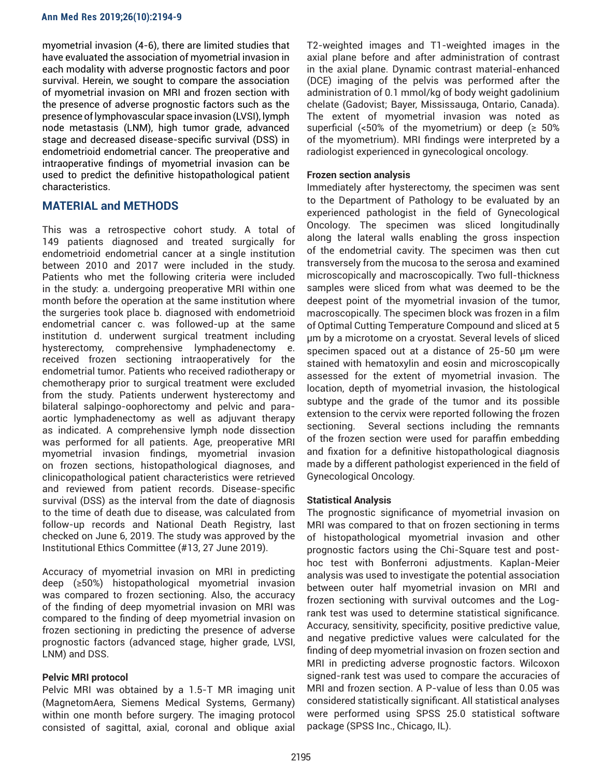myometrial invasion (4-6), there are limited studies that have evaluated the association of myometrial invasion in each modality with adverse prognostic factors and poor survival. Herein, we sought to compare the association of myometrial invasion on MRI and frozen section with the presence of adverse prognostic factors such as the presence of lymphovascular space invasion (LVSI), lymph node metastasis (LNM), high tumor grade, advanced stage and decreased disease-specific survival (DSS) in endometrioid endometrial cancer. The preoperative and intraoperative findings of myometrial invasion can be used to predict the definitive histopathological patient characteristics.

# **MATERIAL and METHODS**

This was a retrospective cohort study. A total of 149 patients diagnosed and treated surgically for endometrioid endometrial cancer at a single institution between 2010 and 2017 were included in the study. Patients who met the following criteria were included in the study: a. undergoing preoperative MRI within one month before the operation at the same institution where the surgeries took place b. diagnosed with endometrioid endometrial cancer c. was followed-up at the same institution d. underwent surgical treatment including hysterectomy, comprehensive lymphadenectomy e. received frozen sectioning intraoperatively for the endometrial tumor. Patients who received radiotherapy or chemotherapy prior to surgical treatment were excluded from the study. Patients underwent hysterectomy and bilateral salpingo-oophorectomy and pelvic and paraaortic lymphadenectomy as well as adjuvant therapy as indicated. A comprehensive lymph node dissection was performed for all patients. Age, preoperative MRI myometrial invasion findings, myometrial invasion on frozen sections, histopathological diagnoses, and clinicopathological patient characteristics were retrieved and reviewed from patient records. Disease-specific survival (DSS) as the interval from the date of diagnosis to the time of death due to disease, was calculated from follow-up records and National Death Registry, last checked on June 6, 2019. The study was approved by the Institutional Ethics Committee (#13, 27 June 2019).

Accuracy of myometrial invasion on MRI in predicting deep (≥50%) histopathological myometrial invasion was compared to frozen sectioning. Also, the accuracy of the finding of deep myometrial invasion on MRI was compared to the finding of deep myometrial invasion on frozen sectioning in predicting the presence of adverse prognostic factors (advanced stage, higher grade, LVSI, LNM) and DSS.

## **Pelvic MRI protocol**

Pelvic MRI was obtained by a 1.5-T MR imaging unit (MagnetomAera, Siemens Medical Systems, Germany) within one month before surgery. The imaging protocol consisted of sagittal, axial, coronal and oblique axial

T2-weighted images and T1-weighted images in the axial plane before and after administration of contrast in the axial plane. Dynamic contrast material-enhanced (DCE) imaging of the pelvis was performed after the administration of 0.1 mmol/kg of body weight gadolinium chelate (Gadovist; Bayer, Mississauga, Ontario, Canada). The extent of myometrial invasion was noted as superficial (<50% of the myometrium) or deep ( $\geq 50\%$ of the myometrium). MRI findings were interpreted by a radiologist experienced in gynecological oncology.

#### **Frozen section analysis**

Immediately after hysterectomy, the specimen was sent to the Department of Pathology to be evaluated by an experienced pathologist in the field of Gynecological Oncology. The specimen was sliced longitudinally along the lateral walls enabling the gross inspection of the endometrial cavity. The specimen was then cut transversely from the mucosa to the serosa and examined microscopically and macroscopically. Two full-thickness samples were sliced from what was deemed to be the deepest point of the myometrial invasion of the tumor, macroscopically. The specimen block was frozen in a film of Optimal Cutting Temperature Compound and sliced at 5 μm by a microtome on a cryostat. Several levels of sliced specimen spaced out at a distance of 25-50 μm were stained with hematoxylin and eosin and microscopically assessed for the extent of myometrial invasion. The location, depth of myometrial invasion, the histological subtype and the grade of the tumor and its possible extension to the cervix were reported following the frozen sectioning. Several sections including the remnants of the frozen section were used for paraffin embedding and fixation for a definitive histopathological diagnosis made by a different pathologist experienced in the field of Gynecological Oncology.

## **Statistical Analysis**

The prognostic significance of myometrial invasion on MRI was compared to that on frozen sectioning in terms of histopathological myometrial invasion and other prognostic factors using the Chi-Square test and posthoc test with Bonferroni adjustments. Kaplan-Meier analysis was used to investigate the potential association between outer half myometrial invasion on MRI and frozen sectioning with survival outcomes and the Logrank test was used to determine statistical significance. Accuracy, sensitivity, specificity, positive predictive value, and negative predictive values were calculated for the finding of deep myometrial invasion on frozen section and MRI in predicting adverse prognostic factors. Wilcoxon signed-rank test was used to compare the accuracies of MRI and frozen section. A P-value of less than 0.05 was considered statistically significant. All statistical analyses were performed using SPSS 25.0 statistical software package (SPSS Inc., Chicago, IL).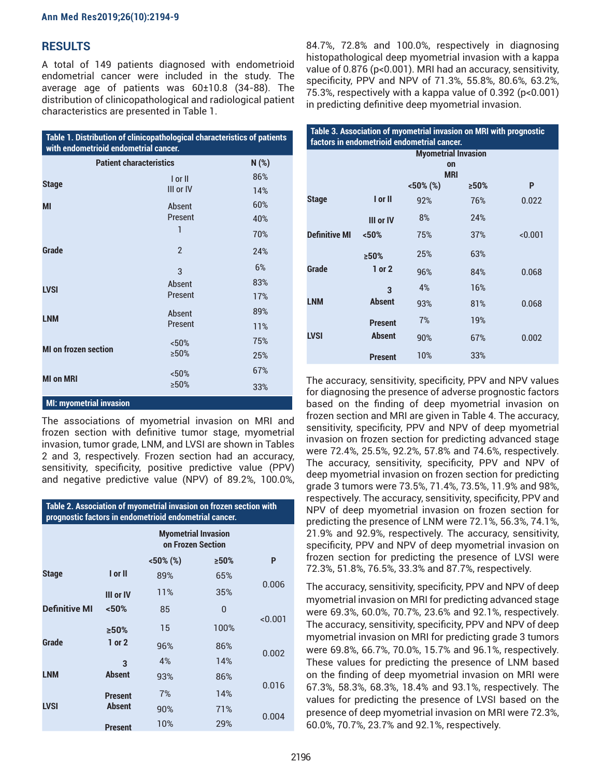# **RESULTS**

A total of 149 patients diagnosed with endometrioid endometrial cancer were included in the study. The average age of patients was 60±10.8 (34-88). The distribution of clinicopathological and radiological patient characteristics are presented in Table 1.

| Table 1. Distribution of clinicopathological characteristics of patients<br>with endometrioid endometrial cancer. |                               |                   |  |
|-------------------------------------------------------------------------------------------------------------------|-------------------------------|-------------------|--|
| <b>Patient characteristics</b>                                                                                    |                               | N(%)              |  |
| <b>Stage</b>                                                                                                      | $I$ or $II$<br>III or IV      | 86%<br>14%        |  |
| MI                                                                                                                | Absent<br><b>Present</b><br>1 | 60%<br>40%<br>70% |  |
| Grade                                                                                                             | $\mathfrak{p}$<br>3           | 24%<br>6%         |  |
| <b>LVSI</b>                                                                                                       | Absent<br>Present             | 83%<br>17%        |  |
| <b>LNM</b>                                                                                                        | Absent<br>Present             | 89%<br>11%        |  |
| <b>MI</b> on frozen section                                                                                       | < 50%<br>>50%                 | 75%<br>25%        |  |
| <b>MI on MRI</b>                                                                                                  | < 50%<br>$>50\%$              | 67%<br>33%        |  |
| <b>MI: myometrial invasion</b>                                                                                    |                               |                   |  |

The associations of myometrial invasion on MRI and frozen section with definitive tumor stage, myometrial invasion, tumor grade, LNM, and LVSI are shown in Tables 2 and 3, respectively. Frozen section had an accuracy, sensitivity, specificity, positive predictive value (PPV) and negative predictive value (NPV) of 89.2%, 100.0%,

| Table 2. Association of myometrial invasion on frozen section with<br>prognostic factors in endometrioid endometrial cancer. |                |                                                 |         |         |  |
|------------------------------------------------------------------------------------------------------------------------------|----------------|-------------------------------------------------|---------|---------|--|
|                                                                                                                              |                | <b>Myometrial Invasion</b><br>on Frozen Section |         |         |  |
|                                                                                                                              |                | $<50\%$ (%)                                     | $>50\%$ | P       |  |
| <b>Stage</b>                                                                                                                 | I or II        | 89%                                             | 65%     |         |  |
|                                                                                                                              | III or IV      | 11%                                             | 35%     | 0.006   |  |
| <b>Definitive MI</b>                                                                                                         | < 50%          | 85                                              | 0       |         |  |
|                                                                                                                              | >50%           | 15                                              | 100%    | < 0.001 |  |
| Grade                                                                                                                        | $1$ or $2$     | 96%                                             | 86%     |         |  |
|                                                                                                                              | 3              | 4%                                              | 14%     | 0.002   |  |
| <b>LNM</b>                                                                                                                   | <b>Absent</b>  | 93%                                             | 86%     | 0.016   |  |
|                                                                                                                              | <b>Present</b> | 7%                                              | 14%     |         |  |
| <b>LVSI</b>                                                                                                                  | <b>Absent</b>  | 90%                                             | 71%     | 0.004   |  |
|                                                                                                                              | <b>Present</b> | 10%                                             | 29%     |         |  |

84.7%, 72.8% and 100.0%, respectively in diagnosing histopathological deep myometrial invasion with a kappa value of 0.876 (p<0.001). MRI had an accuracy, sensitivity, specificity, PPV and NPV of 71.3%, 55.8%, 80.6%, 63.2%, 75.3%, respectively with a kappa value of 0.392 (p<0.001) in predicting definitive deep myometrial invasion.

| Table 3. Association of myometrial invasion on MRI with prognostic<br>factors in endometrioid endometrial cancer. |                            |             |         |         |  |
|-------------------------------------------------------------------------------------------------------------------|----------------------------|-------------|---------|---------|--|
|                                                                                                                   | <b>Myometrial Invasion</b> |             |         |         |  |
|                                                                                                                   | on<br><b>MRI</b>           |             |         |         |  |
|                                                                                                                   |                            | $<50\%$ (%) | $>50\%$ | P       |  |
| <b>Stage</b>                                                                                                      | I or II                    | 92%         | 76%     | 0.022   |  |
|                                                                                                                   | III or IV                  | 8%          | 24%     |         |  |
| <b>Definitive MI</b>                                                                                              | < 50%                      | 75%         | 37%     | < 0.001 |  |
|                                                                                                                   | >50%                       | 25%         | 63%     |         |  |
| Grade                                                                                                             | $1$ or $2$                 | 96%         | 84%     | 0.068   |  |
|                                                                                                                   | $\overline{\mathbf{3}}$    | 4%          | 16%     |         |  |
| <b>LNM</b>                                                                                                        | <b>Absent</b>              | 93%         | 81%     | 0.068   |  |
|                                                                                                                   | <b>Present</b>             | 7%          | 19%     |         |  |
| <b>LVSI</b>                                                                                                       | <b>Absent</b>              | 90%         | 67%     | 0.002   |  |
|                                                                                                                   | <b>Present</b>             | 10%         | 33%     |         |  |

The accuracy, sensitivity, specificity, PPV and NPV values for diagnosing the presence of adverse prognostic factors based on the finding of deep myometrial invasion on frozen section and MRI are given in Table 4. The accuracy, sensitivity, specificity, PPV and NPV of deep myometrial invasion on frozen section for predicting advanced stage were 72.4%, 25.5%, 92.2%, 57.8% and 74.6%, respectively. The accuracy, sensitivity, specificity, PPV and NPV of deep myometrial invasion on frozen section for predicting grade 3 tumors were 73.5%, 71.4%, 73.5%, 11.9% and 98%, respectively. The accuracy, sensitivity, specificity, PPV and NPV of deep myometrial invasion on frozen section for predicting the presence of LNM were 72.1%, 56.3%, 74.1%, 21.9% and 92.9%, respectively. The accuracy, sensitivity, specificity, PPV and NPV of deep myometrial invasion on frozen section for predicting the presence of LVSI were 72.3%, 51.8%, 76.5%, 33.3% and 87.7%, respectively.

The accuracy, sensitivity, specificity, PPV and NPV of deep myometrial invasion on MRI for predicting advanced stage were 69.3%, 60.0%, 70.7%, 23.6% and 92.1%, respectively. The accuracy, sensitivity, specificity, PPV and NPV of deep myometrial invasion on MRI for predicting grade 3 tumors were 69.8%, 66.7%, 70.0%, 15.7% and 96.1%, respectively. These values for predicting the presence of LNM based on the finding of deep myometrial invasion on MRI were 67.3%, 58.3%, 68.3%, 18.4% and 93.1%, respectively. The values for predicting the presence of LVSI based on the presence of deep myometrial invasion on MRI were 72.3%, 60.0%, 70.7%, 23.7% and 92.1%, respectively.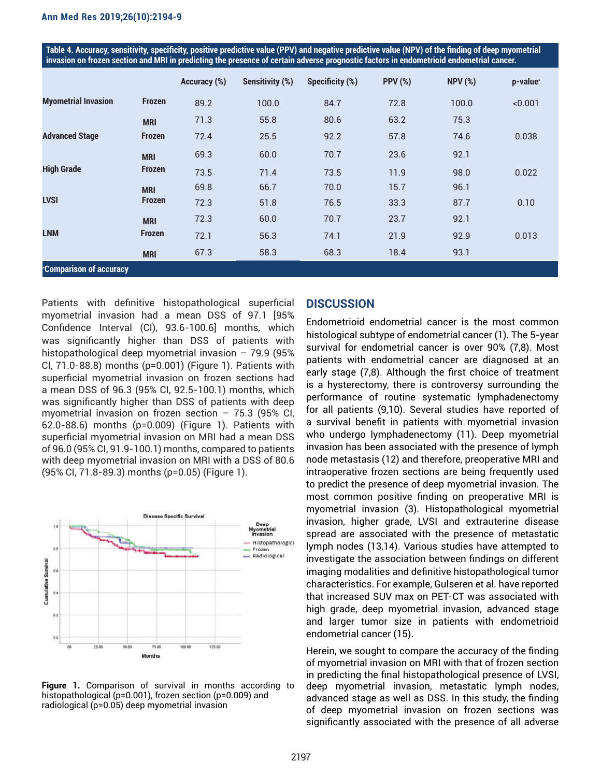**Table 4. Accuracy, sensitivity, specificity, positive predictive value (PPV) and negative predictive value (NPV) of the finding of deep myometrial invasion on frozen section and MRI in predicting the presence of certain adverse prognostic factors in endometrioid endometrial cancer.**

|                            |               | Accuracy (%) | Sensitivity (%) | Specificity (%) | <b>PPV (%)</b> | <b>NPV (%)</b> | p-value* |
|----------------------------|---------------|--------------|-----------------|-----------------|----------------|----------------|----------|
| <b>Myometrial Invasion</b> | <b>Frozen</b> | 89.2         | 100.0           | 84.7            | 72.8           | 100.0          | < 0.001  |
|                            | <b>MRI</b>    | 71.3         | 55.8            | 80.6            | 63.2           | 75.3           |          |
| <b>Advanced Stage</b>      | <b>Frozen</b> | 72.4         | 25.5            | 92.2            | 57.8           | 74.6           | 0.038    |
|                            | <b>MRI</b>    | 69.3         | 60.0            | 70.7            | 23.6           | 92.1           |          |
| <b>High Grade</b>          | <b>Frozen</b> | 73.5         | 71.4            | 73.5            | 11.9           | 98.0           | 0.022    |
|                            | <b>MRI</b>    | 69.8         | 66.7            | 70.0            | 15.7           | 96.1           |          |
| <b>LVSI</b>                | <b>Frozen</b> | 72.3         | 51.8            | 76.5            | 33.3           | 87.7           | 0.10     |
|                            | <b>MRI</b>    | 72.3         | 60.0            | 70.7            | 23.7           | 92.1           |          |
| <b>LNM</b>                 | <b>Frozen</b> | 72.1         | 56.3            | 74.1            | 21.9           | 92.9           | 0.013    |
|                            | <b>MRI</b>    | 67.3         | 58.3            | 68.3            | 18.4           | 93.1           |          |
| *Comparison of accuracy    |               |              |                 |                 |                |                |          |

Patients with definitive histopathological superficial myometrial invasion had a mean DSS of 97.1 [95% Confidence Interval (CI), 93.6-100.6] months, which was significantly higher than DSS of patients with histopathological deep myometrial invasion – 79.9 (95% CI, 71.0-88.8) months (p=0.001) (Figure 1). Patients with superficial myometrial invasion on frozen sections had a mean DSS of 96.3 (95% CI, 92.5-100.1) months, which was significantly higher than DSS of patients with deep myometrial invasion on frozen section – 75.3 (95% CI, 62.0-88.6) months (p=0.009) (Figure 1). Patients with superficial myometrial invasion on MRI had a mean DSS of 96.0 (95% CI, 91.9-100.1) months, compared to patients with deep myometrial invasion on MRI with a DSS of 80.6 (95% CI, 71.8-89.3) months (p=0.05) (Figure 1).



**Figure 1.** Comparison of survival in months according to histopathological (p=0.001), frozen section (p=0.009) and radiological (p=0.05) deep myometrial invasion

## **DISCUSSION**

Endometrioid endometrial cancer is the most common histological subtype of endometrial cancer (1). The 5-year survival for endometrial cancer is over 90% (7,8). Most patients with endometrial cancer are diagnosed at an early stage (7,8). Although the first choice of treatment is a hysterectomy, there is controversy surrounding the performance of routine systematic lymphadenectomy for all patients (9,10). Several studies have reported of a survival benefit in patients with myometrial invasion who undergo lymphadenectomy (11). Deep myometrial invasion has been associated with the presence of lymph node metastasis (12) and therefore, preoperative MRI and intraoperative frozen sections are being frequently used to predict the presence of deep myometrial invasion. The most common positive finding on preoperative MRI is myometrial invasion (3). Histopathological myometrial invasion, higher grade, LVSI and extrauterine disease spread are associated with the presence of metastatic lymph nodes (13,14). Various studies have attempted to investigate the association between findings on different imaging modalities and definitive histopathological tumor characteristics. For example, Gulseren et al. have reported that increased SUV max on PET-CT was associated with high grade, deep myometrial invasion, advanced stage and larger tumor size in patients with endometrioid endometrial cancer (15).

Herein, we sought to compare the accuracy of the finding of myometrial invasion on MRI with that of frozen section in predicting the final histopathological presence of LVSI, deep myometrial invasion, metastatic lymph nodes, advanced stage as well as DSS. In this study, the finding of deep myometrial invasion on frozen sections was significantly associated with the presence of all adverse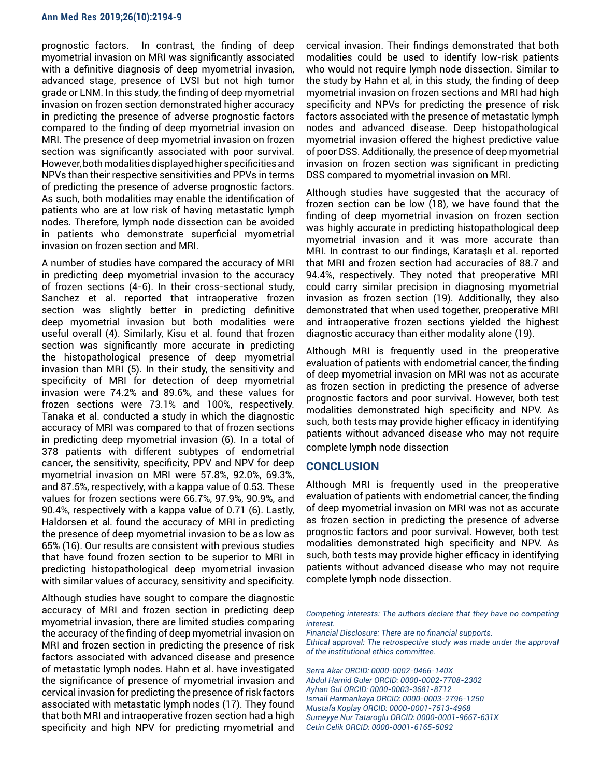#### **Ann Med Res 2019;26(10):2194-9**

prognostic factors. In contrast, the finding of deep myometrial invasion on MRI was significantly associated with a definitive diagnosis of deep myometrial invasion, advanced stage, presence of LVSI but not high tumor grade or LNM. In this study, the finding of deep myometrial invasion on frozen section demonstrated higher accuracy in predicting the presence of adverse prognostic factors compared to the finding of deep myometrial invasion on MRI. The presence of deep myometrial invasion on frozen section was significantly associated with poor survival. However, both modalities displayed higher specificities and NPVs than their respective sensitivities and PPVs in terms of predicting the presence of adverse prognostic factors. As such, both modalities may enable the identification of patients who are at low risk of having metastatic lymph nodes. Therefore, lymph node dissection can be avoided in patients who demonstrate superficial myometrial invasion on frozen section and MRI.

A number of studies have compared the accuracy of MRI in predicting deep myometrial invasion to the accuracy of frozen sections (4-6). In their cross-sectional study, Sanchez et al. reported that intraoperative frozen section was slightly better in predicting definitive deep myometrial invasion but both modalities were useful overall (4). Similarly, Kisu et al. found that frozen section was significantly more accurate in predicting the histopathological presence of deep myometrial invasion than MRI (5). In their study, the sensitivity and specificity of MRI for detection of deep myometrial invasion were 74.2% and 89.6%, and these values for frozen sections were 73.1% and 100%, respectively. Tanaka et al. conducted a study in which the diagnostic accuracy of MRI was compared to that of frozen sections in predicting deep myometrial invasion (6). In a total of 378 patients with different subtypes of endometrial cancer, the sensitivity, specificity, PPV and NPV for deep myometrial invasion on MRI were 57.8%, 92.0%, 69.3%, and 87.5%, respectively, with a kappa value of 0.53. These values for frozen sections were 66.7%, 97.9%, 90.9%, and 90.4%, respectively with a kappa value of 0.71 (6). Lastly, Haldorsen et al. found the accuracy of MRI in predicting the presence of deep myometrial invasion to be as low as 65% (16). Our results are consistent with previous studies that have found frozen section to be superior to MRI in predicting histopathological deep myometrial invasion with similar values of accuracy, sensitivity and specificity.

Although studies have sought to compare the diagnostic accuracy of MRI and frozen section in predicting deep myometrial invasion, there are limited studies comparing the accuracy of the finding of deep myometrial invasion on MRI and frozen section in predicting the presence of risk factors associated with advanced disease and presence of metastatic lymph nodes. Hahn et al. have investigated the significance of presence of myometrial invasion and cervical invasion for predicting the presence of risk factors associated with metastatic lymph nodes (17). They found that both MRI and intraoperative frozen section had a high specificity and high NPV for predicting myometrial and

cervical invasion. Their findings demonstrated that both modalities could be used to identify low-risk patients who would not require lymph node dissection. Similar to the study by Hahn et al, in this study, the finding of deep myometrial invasion on frozen sections and MRI had high specificity and NPVs for predicting the presence of risk factors associated with the presence of metastatic lymph nodes and advanced disease. Deep histopathological myometrial invasion offered the highest predictive value of poor DSS. Additionally, the presence of deep myometrial invasion on frozen section was significant in predicting DSS compared to myometrial invasion on MRI.

Although studies have suggested that the accuracy of frozen section can be low (18), we have found that the finding of deep myometrial invasion on frozen section was highly accurate in predicting histopathological deep myometrial invasion and it was more accurate than MRI. In contrast to our findings, Karataşlı et al. reported that MRI and frozen section had accuracies of 88.7 and 94.4%, respectively. They noted that preoperative MRI could carry similar precision in diagnosing myometrial invasion as frozen section (19). Additionally, they also demonstrated that when used together, preoperative MRI and intraoperative frozen sections yielded the highest diagnostic accuracy than either modality alone (19).

Although MRI is frequently used in the preoperative evaluation of patients with endometrial cancer, the finding of deep myometrial invasion on MRI was not as accurate as frozen section in predicting the presence of adverse prognostic factors and poor survival. However, both test modalities demonstrated high specificity and NPV. As such, both tests may provide higher efficacy in identifying patients without advanced disease who may not require complete lymph node dissection

#### **CONCLUSION**

Although MRI is frequently used in the preoperative evaluation of patients with endometrial cancer, the finding of deep myometrial invasion on MRI was not as accurate as frozen section in predicting the presence of adverse prognostic factors and poor survival. However, both test modalities demonstrated high specificity and NPV. As such, both tests may provide higher efficacy in identifying patients without advanced disease who may not require complete lymph node dissection.

*Competing interests: The authors declare that they have no competing interest.*

*Financial Disclosure: There are no financial supports. Ethical approval: The retrospective study was made under the approval of the institutional ethics committee.*

*Serra Akar ORCID: 0000-0002-0466-140X Abdul Hamid Guler ORCID: 0000-0002-7708-2302 Ayhan Gul ORCID: 0000-0003-3681-8712 Ismail Harmankaya ORCID: 0000-0003-2796-1250 Mustafa Koplay ORCID: 0000-0001-7513-4968 Sumeyye Nur Tataroglu ORCID: 0000-0001-9667-631X Cetin Celik ORCID: 0000-0001-6165-5092*